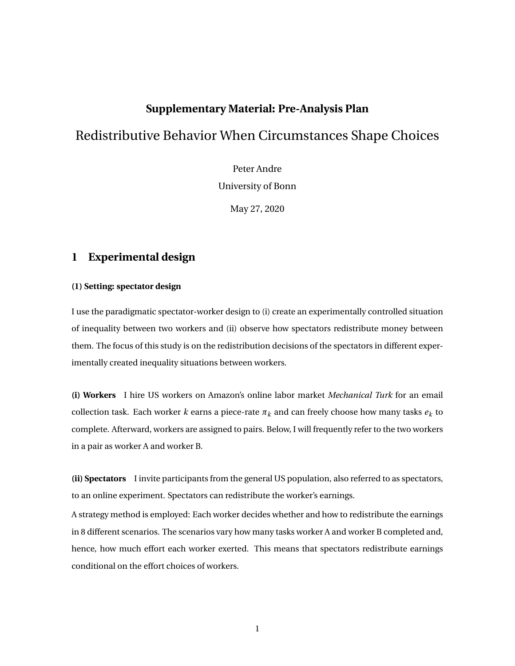# **Supplementary Material: Pre-Analysis Plan**

# Redistributive Behavior When Circumstances Shape Choices

Peter Andre University of Bonn

May 27, 2020

### **1 Experimental design**

#### **(1) Setting: spectator design**

I use the paradigmatic spectator-worker design to (i) create an experimentally controlled situation of inequality between two workers and (ii) observe how spectators redistribute money between them. The focus of this study is on the redistribution decisions of the spectators in different experimentally created inequality situations between workers.

**(i) Workers** I hire US workers on Amazon's online labor market *Mechanical Turk* for an email collection task. Each worker *k* earns a piece-rate  $\pi_k$  and can freely choose how many tasks  $e_k$  to complete. Afterward, workers are assigned to pairs. Below, I will frequently refer to the two workers in a pair as worker A and worker B.

**(ii) Spectators** I invite participants from the general US population, also referred to as spectators, to an online experiment. Spectators can redistribute the worker's earnings.

A strategy method is employed: Each worker decides whether and how to redistribute the earnings in 8 different scenarios. The scenarios vary how many tasks worker A and worker B completed and, hence, how much effort each worker exerted. This means that spectators redistribute earnings conditional on the effort choices of workers.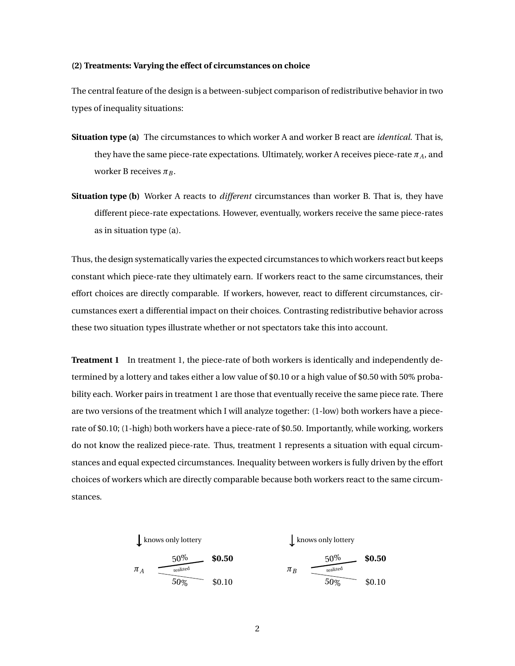#### **(2) Treatments: Varying the effect of circumstances on choice**

The central feature of the design is a between-subject comparison of redistributive behavior in two types of inequality situations:

- **Situation type (a)** The circumstances to which worker A and worker B react are *identical*. That is, they have the same piece-rate expectations. Ultimately, worker A receives piece-rate  $\pi_A$ , and worker B receives  $\pi_B$ .
- **Situation type (b)** Worker A reacts to *different* circumstances than worker B. That is, they have different piece-rate expectations. However, eventually, workers receive the same piece-rates as in situation type (a).

Thus, the design systematically varies the expected circumstances to which workers react but keeps constant which piece-rate they ultimately earn. If workers react to the same circumstances, their effort choices are directly comparable. If workers, however, react to different circumstances, circumstances exert a differential impact on their choices. Contrasting redistributive behavior across these two situation types illustrate whether or not spectators take this into account.

**Treatment 1** In treatment 1, the piece-rate of both workers is identically and independently determined by a lottery and takes either a low value of \$0.10 or a high value of \$0.50 with 50% probability each. Worker pairs in treatment 1 are those that eventually receive the same piece rate. There are two versions of the treatment which I will analyze together: (1-low) both workers have a piecerate of \$0.10; (1-high) both workers have a piece-rate of \$0.50. Importantly, while working, workers do not know the realized piece-rate. Thus, treatment 1 represents a situation with equal circumstances and equal expected circumstances. Inequality between workers is fully driven by the effort choices of workers which are directly comparable because both workers react to the same circumstances.

$$
\begin{array}{c|c}\n\downarrow \text{knows only lottery} \\
\hline\n\text{T}_A & \xrightarrow{\text{realized} \\
\hline\n50\% & 50.50 \\
\hline\n\end{array}\n\qquad\n\begin{array}{c}\n\text{$0.50} \\
\hline\n\end{array}\n\qquad\n\begin{array}{c}\n\downarrow \text{knows only lottery} \\
\hline\n\end{array}\n\qquad\n\begin{array}{c}\n\text{$0.50} \\
\hline\n\end{array}\n\qquad\n\begin{array}{c}\n\text{$0.50} \\
\hline\n\end{array}
$$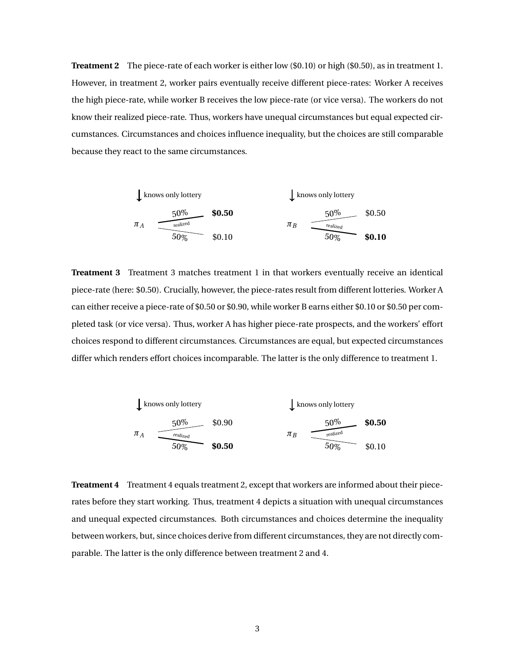**Treatment 2** The piece-rate of each worker is either low (\$0.10) or high (\$0.50), as in treatment 1. However, in treatment 2, worker pairs eventually receive different piece-rates: Worker A receives the high piece-rate, while worker B receives the low piece-rate (or vice versa). The workers do not know their realized piece-rate. Thus, workers have unequal circumstances but equal expected circumstances. Circumstances and choices influence inequality, but the choices are still comparable because they react to the same circumstances.

| 1                   | knows only lottery             | knows only lottery  |          |                                |          |
|---------------------|--------------------------------|---------------------|----------|--------------------------------|----------|
| $\pi_A$             | $\frac{50\%}{\text{realized}}$ | $\$0.50$            | $\pi_B$  | $\frac{50\%}{\text{realized}}$ | $\$0.50$ |
| $\frac{50\%}{50\%}$ | $\$0.10$                       | $\frac{50\%}{50\%}$ | $\$0.10$ |                                |          |

**Treatment 3** Treatment 3 matches treatment 1 in that workers eventually receive an identical piece-rate (here: \$0.50). Crucially, however, the piece-rates result from different lotteries. Worker A can either receive a piece-rate of \$0.50 or \$0.90, while worker B earns either \$0.10 or \$0.50 per completed task (or vice versa). Thus, worker A has higher piece-rate prospects, and the workers' effort choices respond to different circumstances. Circumstances are equal, but expected circumstances differ which renders effort choices incomparable. The latter is the only difference to treatment 1.

| 1       | knows only lottery             |        |         |                                |        |
|---------|--------------------------------|--------|---------|--------------------------------|--------|
| $\pi_A$ | $\frac{50\%}{\text{realized}}$ | \$0.90 | $\pi_B$ | $\frac{50\%}{\text{realized}}$ | \$0.50 |
| $\pi_B$ | $\frac{50\%}{\text{realized}}$ | \$0.50 |         |                                |        |

**Treatment 4** Treatment 4 equals treatment 2, except that workers are informed about their piecerates before they start working. Thus, treatment 4 depicts a situation with unequal circumstances and unequal expected circumstances. Both circumstances and choices determine the inequality between workers, but, since choices derive from different circumstances, they are not directly comparable. The latter is the only difference between treatment 2 and 4.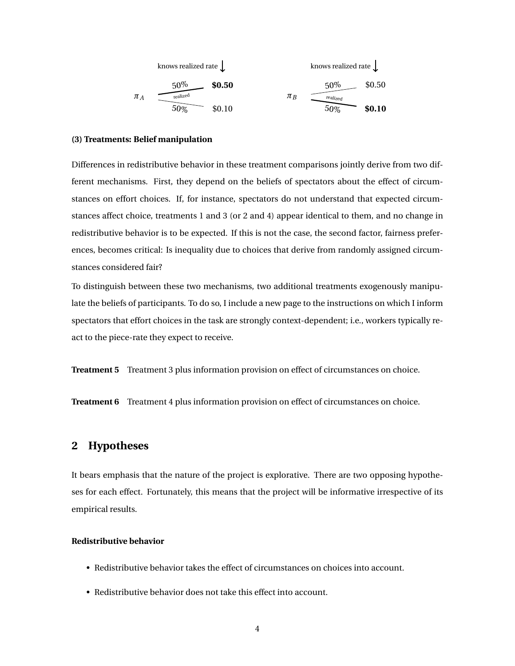knows realized rate 
$$
\downarrow
$$

\n

| 50%     | \$0.50                                     | 50%    | \$0.50  |                                            |        |
|---------|--------------------------------------------|--------|---------|--------------------------------------------|--------|
| $\pi_A$ | $\frac{\text{realized}}{\text{realized}}}$ | \$0.10 | $\pi_B$ | $\frac{\text{realized}}{\text{realized}}}$ | \$0.10 |

#### **(3) Treatments: Belief manipulation**

Differences in redistributive behavior in these treatment comparisons jointly derive from two different mechanisms. First, they depend on the beliefs of spectators about the effect of circumstances on effort choices. If, for instance, spectators do not understand that expected circumstances affect choice, treatments 1 and 3 (or 2 and 4) appear identical to them, and no change in redistributive behavior is to be expected. If this is not the case, the second factor, fairness preferences, becomes critical: Is inequality due to choices that derive from randomly assigned circumstances considered fair?

To distinguish between these two mechanisms, two additional treatments exogenously manipulate the beliefs of participants. To do so, I include a new page to the instructions on which I inform spectators that effort choices in the task are strongly context-dependent; i.e., workers typically react to the piece-rate they expect to receive.

**Treatment 5** Treatment 3 plus information provision on effect of circumstances on choice.

**Treatment 6** Treatment 4 plus information provision on effect of circumstances on choice.

# **2 Hypotheses**

It bears emphasis that the nature of the project is explorative. There are two opposing hypotheses for each effect. Fortunately, this means that the project will be informative irrespective of its empirical results.

#### **Redistributive behavior**

- Redistributive behavior takes the effect of circumstances on choices into account.
- Redistributive behavior does not take this effect into account.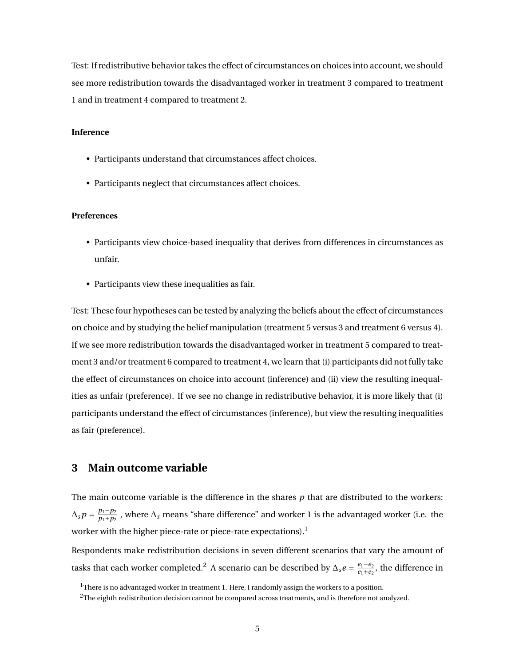Test: If redistributive behavior takes the effect of circumstances on choices into account, we should see more redistribution towards the disadvantaged worker in treatment 3 compared to treatment 1 and in treatment 4 compared to treatment 2.

#### **Inference**

- Participants understand that circumstances affect choices.
- Participants neglect that circumstances affect choices.

#### **Preferences**

- Participants view choice-based inequality that derives from differences in circumstances as unfair.
- Participants view these inequalities as fair.

Test: These four hypotheses can be tested by analyzing the beliefs about the effect of circumstances on choice and by studying the belief manipulation (treatment 5 versus 3 and treatment 6 versus 4). If we see more redistribution towards the disadvantaged worker in treatment 5 compared to treatment 3 and/or treatment 6 compared to treatment 4, we learn that (i) participants did not fully take the effect of circumstances on choice into account (inference) and (ii) view the resulting inequalities as unfair (preference). If we see no change in redistributive behavior, it is more likely that (i) participants understand the effect of circumstances (inference), but view the resulting inequalities as fair (preference).

### **3 Main outcome variable**

The main outcome variable is the difference in the shares *p* that are distributed to the workers:  $\Delta_s p = \frac{p_1 - p_2}{p_1 + p_2}$  $\frac{p_1-p_2}{p_1+p_2}$  , where  $\Delta_s$  means "share difference" and worker 1 is the advantaged worker (i.e. the worker with the higher piece-rate or piece-rate expectations).<sup>1</sup>

Respondents make redistribution decisions in seven different scenarios that vary the amount of tasks that each worker completed.<sup>2</sup> A scenario can be described by  $\Delta_s e = \frac{e_1 - e_2}{e_1 + e_2}$  $\frac{e_1-e_2}{e_1+e_2}$ , the difference in

<sup>&</sup>lt;sup>1</sup>There is no advantaged worker in treatment 1. Here, I randomly assign the workers to a position.

 $2$ The eighth redistribution decision cannot be compared across treatments, and is therefore not analyzed.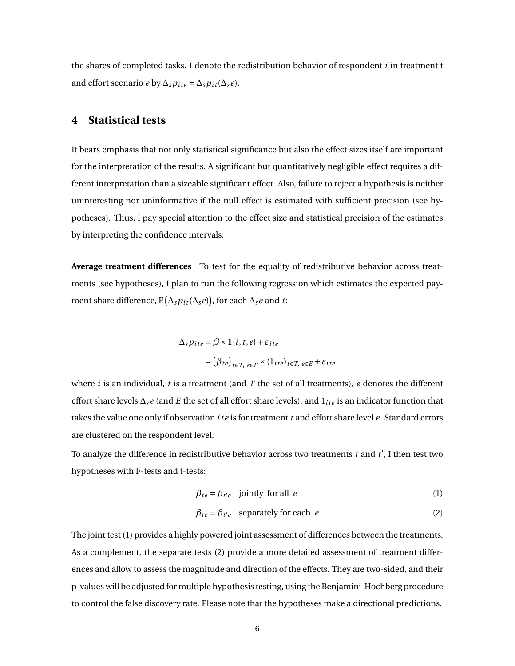the shares of completed tasks. I denote the redistribution behavior of respondent *i* in treatment t and effort scenario *e* by  $\Delta_s p_{ite} = \Delta_s p_{it}(\Delta_s e)$ .

### **4 Statistical tests**

It bears emphasis that not only statistical significance but also the effect sizes itself are important for the interpretation of the results. A significant but quantitatively negligible effect requires a different interpretation than a sizeable significant effect. Also, failure to reject a hypothesis is neither uninteresting nor uninformative if the null effect is estimated with sufficient precision (see hypotheses). Thus, I pay special attention to the effect size and statistical precision of the estimates by interpreting the confidence intervals.

**Average treatment differences** To test for the equality of redistributive behavior across treatments (see hypotheses), I plan to run the following regression which estimates the expected payment share difference,  $E(\Delta_s p_{it}(\Delta_s e))$ , for each  $\Delta_s e$  and *t*:

$$
\Delta_{s} p_{ite} = \beta \times 1 \{i, t, e\} + \varepsilon_{ite}
$$
  
=  $(\beta_{te})_{t \in T, e \in E} \times (1_{ite})_{t \in T, e \in E} + \varepsilon_{ite}$ 

where  $i$  is an individual,  $t$  is a treatment (and  $T$  the set of all treatments),  $e$  denotes the different effort share levels ∆*se* (and *E* the set of all effort share levels), and 1*i te* is an indicator function that takes the value one only if observation *i te* is for treatment *t* and effort share level *e*. Standard errors are clustered on the respondent level.

To analyze the difference in redistributive behavior across two treatments  $t$  and  $t'$ , I then test two hypotheses with F-tests and t-tests:

$$
\beta_{te} = \beta_{t'e} \quad \text{jointly for all } e \tag{1}
$$

$$
\beta_{te} = \beta_{t'e} \quad \text{separately for each} \quad e \tag{2}
$$

The joint test (1) provides a highly powered joint assessment of differences between the treatments. As a complement, the separate tests (2) provide a more detailed assessment of treatment differences and allow to assess the magnitude and direction of the effects. They are two-sided, and their p-values will be adjusted for multiple hypothesis testing, using the Benjamini-Hochberg procedure to control the false discovery rate. Please note that the hypotheses make a directional predictions.